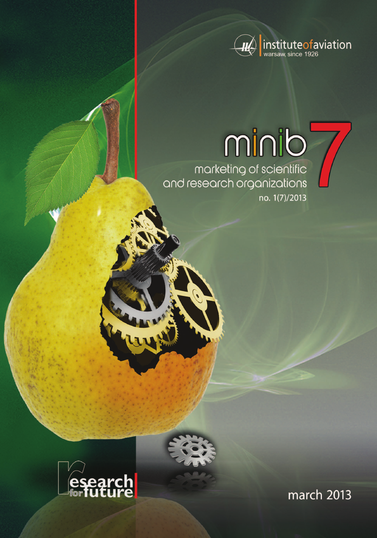

no. 1(7)/2013

# 



march 2013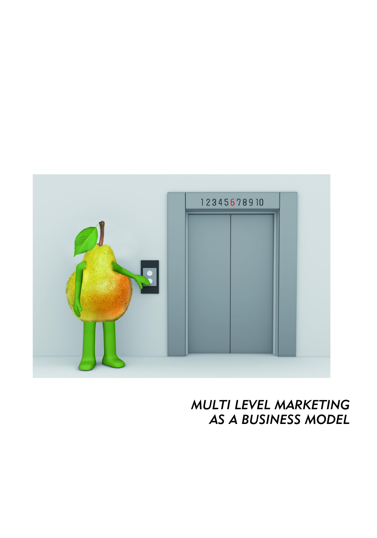

*MULTI LEVEL MARKETING AS A BUSINESS MODEL*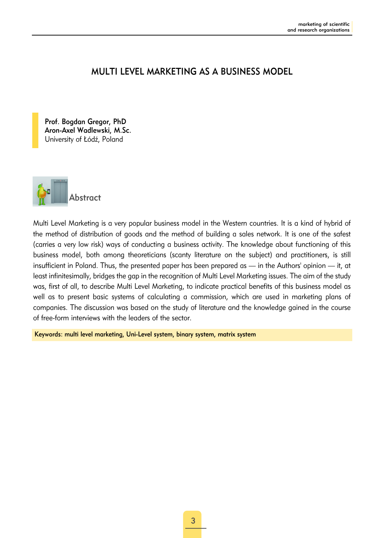# MULTI LEVEL MARKETING AS A BUSINESS MODEL

Prof. Bogdan Gregor, PhD Aron-Axel Wadlewski, M.Sc. University of Łódź, Poland



Multi Level Marketing is a very popular business model in the Western countries. It is a kind of hybrid of the method of distribution of goods and the method of building a sales network. It is one of the safest (carries a very low risk) ways of conducting a business activity. The knowledge about functioning of this business model, both among theoreticians (scanty literature on the subject) and practitioners, is still insufficient in Poland. Thus, the presented paper has been prepared as — in the Authors' opinion — it, at least infinitesimally, bridges the gap in the recognition of Multi Level Marketing issues. The aim of the study was, first of all, to describe Multi Level Marketing, to indicate practical benefits of this business model as well as to present basic systems of calculating a commission, which are used in marketing plans of companies. The discussion was based on the study of literature and the knowledge gained in the course of free-form interviews with the leaders of the sector.

Keywords: multi level marketing, Uni-Level system, binary system, matrix system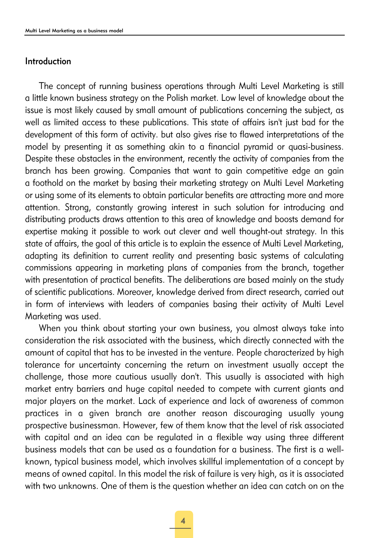#### Introduction

The concept of running business operations through Multi Level Marketing is still a little known business strategy on the Polish market. Low level of knowledge about the issue is most likely caused by small amount of publications concerning the subject, as well as limited access to these publications. This state of affairs isn't just bad for the development of this form of activity. but also gives rise to flawed interpretations of the model by presenting it as something akin to a financial pyramid or quasi-business. Despite these obstacles in the environment, recently the activity of companies from the branch has been growing. Companies that want to gain competitive edge an gain a foothold on the market by basing their marketing strategy on Multi Level Marketing or using some of its elements to obtain particular benefits are attracting more and more attention. Strong, constantly growing interest in such solution for introducing and distributing products draws attention to this area of knowledge and boosts demand for expertise making it possible to work out clever and well thought-out strategy. In this state of affairs, the goal of this article is to explain the essence of Multi Level Marketing, adapting its definition to current reality and presenting basic systems of calculating commissions appearing in marketing plans of companies from the branch, together with presentation of practical benefits. The deliberations are based mainly on the study of scientific publications. Moreover, knowledge derived from direct research, carried out in form of interviews with leaders of companies basing their activity of Multi Level Marketing was used.

When you think about starting your own business, you almost always take into consideration the risk associated with the business, which directly connected with the amount of capital that has to be invested in the venture. People characterized by high tolerance for uncertainty concerning the return on investment usually accept the challenge, those more cautious usually don't. This usually is associated with high market entry barriers and huge capital needed to compete with current giants and major players on the market. Lack of experience and lack of awareness of common practices in a given branch are another reason discouraging usually young prospective businessman. However, few of them know that the level of risk associated with capital and an idea can be regulated in a flexible way using three different business models that can be used as a foundation for a business. The first is a wellknown, typical business model, which involves skillful implementation of a concept by means of owned capital. In this model the risk of failure is very high, as it is associated with two unknowns. One of them is the question whether an idea can catch on on the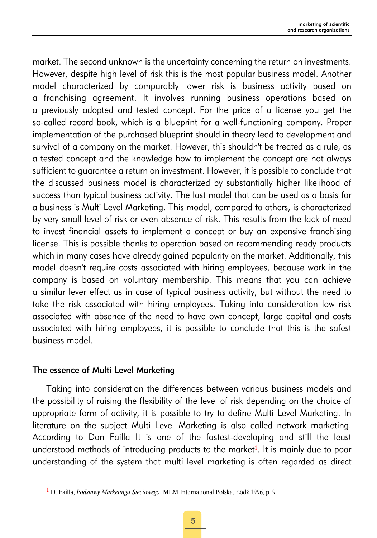market. The second unknown is the uncertainty concerning the return on investments. However, despite high level of risk this is the most popular business model. Another model characterized by comparably lower risk is business activity based on a franchising agreement. It involves running business operations based on a previously adopted and tested concept. For the price of a license you get the so-called record book, which is a blueprint for a well-functioning company. Proper implementation of the purchased blueprint should in theory lead to development and survival of a company on the market. However, this shouldn't be treated as a rule, as a tested concept and the knowledge how to implement the concept are not always sufficient to guarantee a return on investment. However, it is possible to conclude that the discussed business model is characterized by substantially higher likelihood of success than typical business activity. The last model that can be used as a basis for a business is Multi Level Marketing. This model, compared to others, is characterized by very small level of risk or even absence of risk. This results from the lack of need to invest financial assets to implement a concept or buy an expensive franchising license. This is possible thanks to operation based on recommending ready products which in many cases have already gained popularity on the market. Additionally, this model doesn't require costs associated with hiring employees, because work in the company is based on voluntary membership. This means that you can achieve a similar lever effect as in case of typical business activity, but without the need to take the risk associated with hiring employees. Taking into consideration low risk associated with absence of the need to have own concept, large capital and costs associated with hiring employees, it is possible to conclude that this is the safest business model.

# The essence of Multi Level Marketing

Taking into consideration the differences between various business models and the possibility of raising the flexibility of the level of risk depending on the choice of appropriate form of activity, it is possible to try to define Multi Level Marketing. In literature on the subject Multi Level Marketing is also called network marketing. According to Don Failla It is one of the fastest-developing and still the least understood methods of introducing products to the market<sup>1</sup>. It is mainly due to poor understanding of the system that multi level marketing is often regarded as direct

<sup>1</sup> D. Failla, *Podstawy Marketingu Sieciowego*, MLM International Polska, Łódź 1996, p. 9.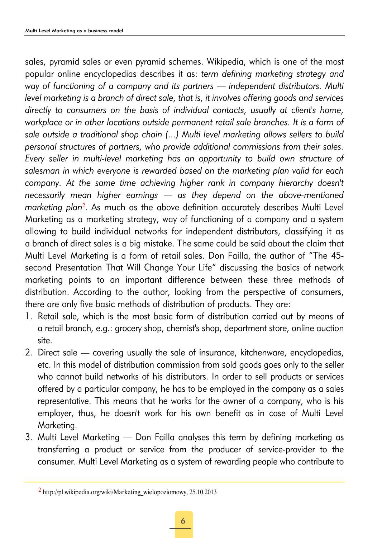sales, pyramid sales or even pyramid schemes. Wikipedia, which is one of the most popular online encyclopedias describes it as: *term defining marketing strategy and way of functioning of a company and its partners — independent distributors. Multi level marketing is a branch of direct sale, that is, it involves offering goods and services directly to consumers on the basis of individual contacts, usually at client's home, workplace or in other locations outside permanent retail sale branches. It is a form of sale outside a traditional shop chain (...) Multi level marketing allows sellers to build personal structures of partners, who provide additional commissions from their sales. Every seller in multi-level marketing has an opportunity to build own structure of salesman in which everyone is rewarded based on the marketing plan valid for each company. At the same time achieving higher rank in company hierarchy doesn't necessarily mean higher earnings — as they depend on the above-mentioned marketing plan*<sup>2</sup>. As much as the above definition accurately describes Multi Level Marketing as a marketing strategy, way of functioning of a company and a system allowing to build individual networks for independent distributors, classifying it as a branch of direct sales is a big mistake. The same could be said about the claim that Multi Level Marketing is a form of retail sales. Don Failla, the author of "The 45 second Presentation That Will Change Your Life" discussing the basics of network marketing points to an important difference between these three methods of distribution. According to the author, looking from the perspective of consumers, there are only five basic methods of distribution of products. They are:

- 1. Retail sale, which is the most basic form of distribution carried out by means of a retail branch, e.g.: grocery shop, chemist's shop, department store, online auction site.
- 2. Direct sale covering usually the sale of insurance, kitchenware, encyclopedias, etc. In this model of distribution commission from sold goods goes only to the seller who cannot build networks of his distributors. In order to sell products or services offered by a particular company, he has to be employed in the company as a sales representative. This means that he works for the owner of a company, who is his employer, thus, he doesn't work for his own benefit as in case of Multi Level Marketing.
- 3. Multi Level Marketing Don Failla analyses this term by defining marketing as transferring a product or service from the producer of service-provider to the consumer. Multi Level Marketing as a system of rewarding people who contribute to

 $2$  http://pl.wikipedia.org/wiki/Marketing\_wielopoziomowy, 25.10.2013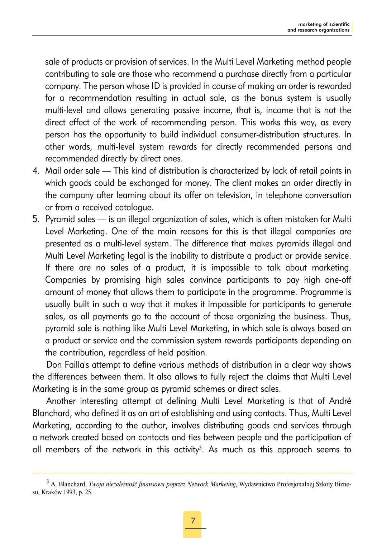sale of products or provision of services. In the Multi Level Marketing method people contributing to sale are those who recommend a purchase directly from a particular company. The person whose ID is provided in course of making an order is rewarded for a recommendation resulting in actual sale, as the bonus system is usually multi-level and allows generating passive income, that is, income that is not the direct effect of the work of recommending person. This works this way, as every person has the opportunity to build individual consumer-distribution structures. In other words, multi-level system rewards for directly recommended persons and recommended directly by direct ones.

- 4. Mail order sale This kind of distribution is characterized by lack of retail points in which goods could be exchanged for money. The client makes an order directly in the company after learning about its offer on television, in telephone conversation or from a received catalogue.
- 5. Pyramid sales is an illegal organization of sales, which is often mistaken for Multi Level Marketing. One of the main reasons for this is that illegal companies are presented as a multi-level system. The difference that makes pyramids illegal and Multi Level Marketing legal is the inability to distribute a product or provide service. If there are no sales of a product, it is impossible to talk about marketing. Companies by promising high sales convince participants to pay high one-off amount of money that allows them to participate in the programme. Programme is usually built in such a way that it makes it impossible for participants to generate sales, as all payments go to the account of those organizing the business. Thus, pyramid sale is nothing like Multi Level Marketing, in which sale is always based on a product or service and the commission system rewards participants depending on the contribution, regardless of held position.

Don Failla's attempt to define various methods of distribution in a clear way shows the differences between them. It also allows to fully reject the claims that Multi Level Marketing is in the same group as pyramid schemes or direct sales.

Another interesting attempt at defining Multi Level Marketing is that of André Blanchard, who defined it as an art of establishing and using contacts. Thus, Multi Level Marketing, according to the author, involves distributing goods and services through a network created based on contacts and ties between people and the participation of all members of the network in this activity<sup>3</sup>. As much as this approach seems to

<sup>3</sup> A. Blanchard, *Twoja niezależność finansowa poprzez Network Marketing*, Wydawnictwo Profesjonalnej Szkoły Biznesu, Kraków 1993, p. 25.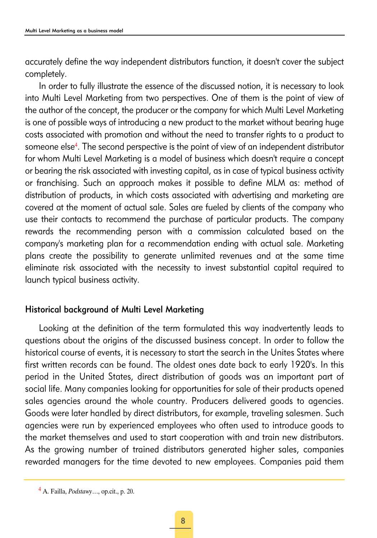accurately define the way independent distributors function, it doesn't cover the subject completely.

In order to fully illustrate the essence of the discussed notion, it is necessary to look into Multi Level Marketing from two perspectives. One of them is the point of view of the author of the concept, the producer or the company for which Multi Level Marketing is one of possible ways of introducing a new product to the market without bearing huge costs associated with promotion and without the need to transfer rights to a product to someone else<sup>4</sup>. The second perspective is the point of view of an independent distributor for whom Multi Level Marketing is a model of business which doesn't require a concept or bearing the risk associated with investing capital, as in case of typical business activity or franchising. Such an approach makes it possible to define MLM as: method of distribution of products, in which costs associated with advertising and marketing are covered at the moment of actual sale. Sales are fueled by clients of the company who use their contacts to recommend the purchase of particular products. The company rewards the recommending person with a commission calculated based on the company's marketing plan for a recommendation ending with actual sale. Marketing plans create the possibility to generate unlimited revenues and at the same time eliminate risk associated with the necessity to invest substantial capital required to launch typical business activity.

# Historical background of Multi Level Marketing

Looking at the definition of the term formulated this way inadvertently leads to questions about the origins of the discussed business concept. In order to follow the historical course of events, it is necessary to start the search in the Unites States where first written records can be found. The oldest ones date back to early 1920's. In this period in the United States, direct distribution of goods was an important part of social life. Many companies looking for opportunities for sale of their products opened sales agencies around the whole country. Producers delivered goods to agencies. Goods were later handled by direct distributors, for example, traveling salesmen. Such agencies were run by experienced employees who often used to introduce goods to the market themselves and used to start cooperation with and train new distributors. As the growing number of trained distributors generated higher sales, companies rewarded managers for the time devoted to new employees. Companies paid them

<sup>4</sup> A. Failla, *Podstawy*…, op.cit., p. 20.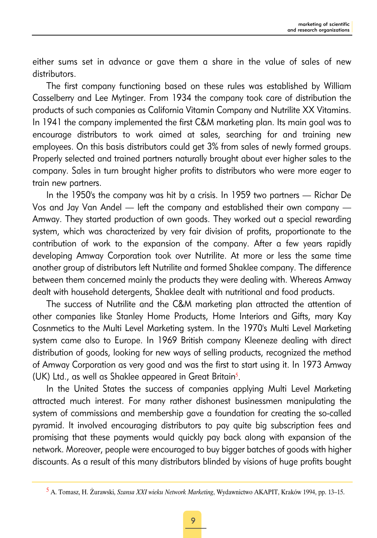either sums set in advance or gave them a share in the value of sales of new distributors.

The first company functioning based on these rules was established by William Casselberry and Lee Mytinger. From 1934 the company took care of distribution the products of such companies as California Vitamin Company and Nutrilite XX Vitamins. In 1941 the company implemented the first C&M marketing plan. Its main goal was to encourage distributors to work aimed at sales, searching for and training new employees. On this basis distributors could get 3% from sales of newly formed groups. Properly selected and trained partners naturally brought about ever higher sales to the company. Sales in turn brought higher profits to distributors who were more eager to train new partners.

In the 1950's the company was hit by a crisis. In 1959 two partners — Richar De Vos and Jay Van Andel — left the company and established their own company — Amway. They started production of own goods. They worked out a special rewarding system, which was characterized by very fair division of profits, proportionate to the contribution of work to the expansion of the company. After a few years rapidly developing Amway Corporation took over Nutrilite. At more or less the same time another group of distributors left Nutrilite and formed Shaklee company. The difference between them concerned mainly the products they were dealing with. Whereas Amway dealt with household detergents, Shaklee dealt with nutritional and food products.

The success of Nutrilite and the C&M marketing plan attracted the attention of other companies like Stanley Home Products, Home Interiors and Gifts, mary Kay Cosnmetics to the Multi Level Marketing system. In the 1970's Multi Level Marketing system came also to Europe. In 1969 British company Kleeneze dealing with direct distribution of goods, looking for new ways of selling products, recognized the method of Amway Corporation as very good and was the first to start using it. In 1973 Amway (UK) Ltd., as well as Shaklee appeared in Great Britain<sup>5</sup>.

In the United States the success of companies applying Multi Level Marketing attracted much interest. For many rather dishonest businessmen manipulating the system of commissions and membership gave a foundation for creating the so-called pyramid. It involved encouraging distributors to pay quite big subscription fees and promising that these payments would quickly pay back along with expansion of the network. Moreover, people were encouraged to buy bigger batches of goods with higher discounts. As a result of this many distributors blinded by visions of huge profits bought

<sup>5</sup> A. Tomasz, H. Żurawski, *Szansa XXI wieku Network Marketing*, Wydawnictwo AKAPIT, Kraków 1994, pp. 13–15.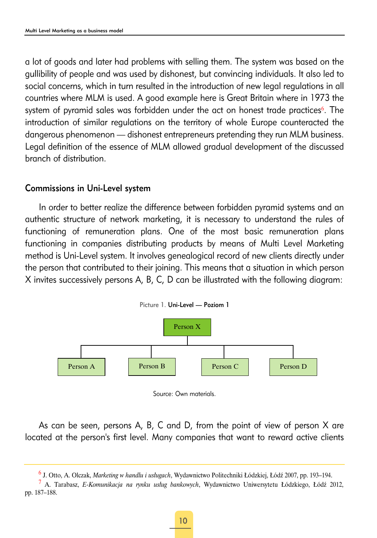a lot of goods and later had problems with selling them. The system was based on the gullibility of people and was used by dishonest, but convincing individuals. It also led to social concerns, which in turn resulted in the introduction of new legal regulations in all countries where MLM is used. A good example here is Great Britain where in 1973 the system of pyramid sales was forbidden under the act on honest trade practices<sup>6</sup>. The introduction of similar regulations on the territory of whole Europe counteracted the dangerous phenomenon — dishonest entrepreneurs pretending they run MLM business. Legal definition of the essence of MLM allowed gradual development of the discussed branch of distribution.

### Commissions in Uni-Level system

In order to better realize the difference between forbidden pyramid systems and an authentic structure of network marketing, it is necessary to understand the rules of functioning of remuneration plans. One of the most basic remuneration plans functioning in companies distributing products by means of Multi Level Marketing method is Uni-Level system. It involves genealogical record of new clients directly under the person that contributed to their joining. This means that a situation in which person X invites successively persons A, B, C, D can be illustrated with the following diagram:





As can be seen, persons A, B, C and D, from the point of view of person X are located at the person's first level. Many companies that want to reward active clients

<sup>7</sup> A. Tarabasz, *E-Komunikacja na rynku usług bankowych*, Wydawnictwo Uniwersytetu Łódzkiego, Łódź 2012, pp. 187–188.

<sup>6</sup> J. Otto, A. Olczak, *Marketing w handlu i usługach*, Wydawnictwo Politechniki Łódzkiej, Łódź 2007, pp. 193–194.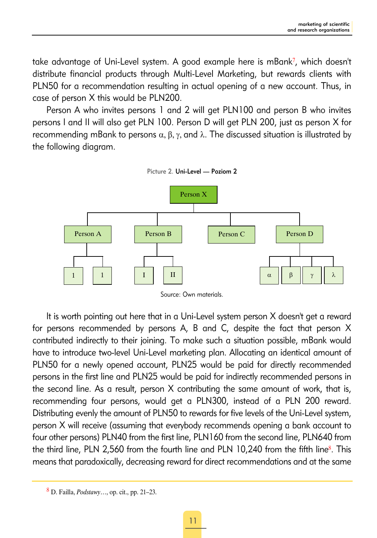take advantage of Uni-Level system. A good example here is mBank<sup>7</sup>, which doesn't distribute financial products through Multi-Level Marketing, but rewards clients with PLN50 for a recommendation resulting in actual opening of a new account. Thus, in case of person X this would be PLN200.

Person A who invites persons 1 and 2 will get PLN100 and person B who invites persons I and II will also get PLN 100. Person D will get PLN 200, just as person X for recommending mBank to persons  $\alpha$ , β, γ, and  $\lambda$ . The discussed situation is illustrated by the following diagram.



Source: Own materials.

It is worth pointing out here that in a Uni-Level system person X doesn't get a reward for persons recommended by persons A, B and C, despite the fact that person X contributed indirectly to their joining. To make such a situation possible, mBank would have to introduce two-level Uni-Level marketing plan. Allocating an identical amount of PLN50 for a newly opened account, PLN25 would be paid for directly recommended persons in the first line and PLN25 would be paid for indirectly recommended persons in the second line. As a result, person X contributing the same amount of work, that is, recommending four persons, would get a PLN300, instead of a PLN 200 reward. Distributing evenly the amount of PLN50 to rewards for five levels of the Uni-Level system, person X will receive (assuming that everybody recommends opening a bank account to four other persons) PLN40 from the first line, PLN160 from the second line, PLN640 from the third line, PLN 2,560 from the fourth line and PLN 10,240 from the fifth line $8$ . This means that paradoxically, decreasing reward for direct recommendations and at the same

<sup>8</sup> D. Failla, *Podstawy*…, op. cit., pp. 21–23.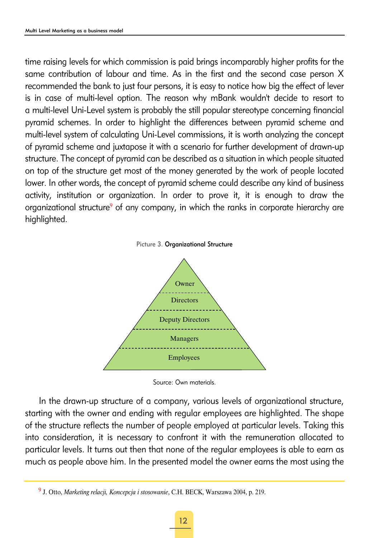time raising levels for which commission is paid brings incomparably higher profits for the same contribution of labour and time. As in the first and the second case person X recommended the bank to just four persons, it is easy to notice how big the effect of lever is in case of multi-level option. The reason why mBank wouldn't decide to resort to a multi-level Uni-Level system is probably the still popular stereotype concerning financial pyramid schemes. In order to highlight the differences between pyramid scheme and multi-level system of calculating Uni-Level commissions, it is worth analyzing the concept of pyramid scheme and juxtapose it with a scenario for further development of drawn-up structure. The concept of pyramid can be described as a situation in which people situated on top of the structure get most of the money generated by the work of people located lower. In other words, the concept of pyramid scheme could describe any kind of business activity, institution or organization. In order to prove it, it is enough to draw the organizational structure<sup>9</sup> of any company, in which the ranks in corporate hierarchy are highlighted.





Source: Own materials.

In the drawn-up structure of a company, various levels of organizational structure, starting with the owner and ending with regular employees are highlighted. The shape of the structure reflects the number of people employed at particular levels. Taking this into consideration, it is necessary to confront it with the remuneration allocated to particular levels. It turns out then that none of the regular employees is able to earn as much as people above him. In the presented model the owner earns the most using the

<sup>9</sup> J. Otto, *Marketing relacji, Koncepcja i stosowanie*, C.H. BECK, Warszawa 2004, p. 219.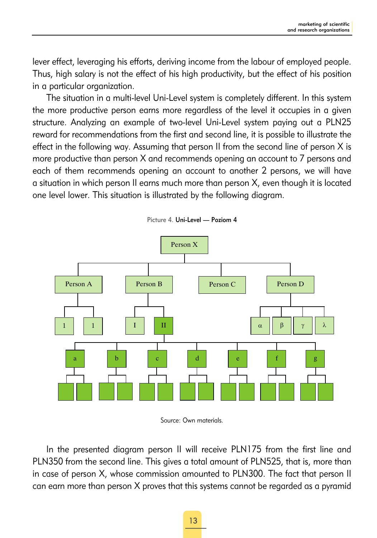lever effect, leveraging his efforts, deriving income from the labour of employed people. Thus, high salary is not the effect of his high productivity, but the effect of his position in a particular organization.

The situation in a multi-level Uni-Level system is completely different. In this system the more productive person earns more regardless of the level it occupies in a given structure. Analyzing an example of two-level Uni-Level system paying out a PLN25 reward for recommendations from the first and second line, it is possible to illustrate the effect in the following way. Assuming that person II from the second line of person X is more productive than person X and recommends opening an account to 7 persons and each of them recommends opening an account to another 2 persons, we will have a situation in which person II earns much more than person X, even though it is located one level lower. This situation is illustrated by the following diagram.



Picture 4. Uni-Level — Poziom 4

In the presented diagram person II will receive PLN175 from the first line and PLN350 from the second line. This gives a total amount of PLN525, that is, more than in case of person X, whose commission amounted to PLN300. The fact that person II can earn more than person X proves that this systems cannot be regarded as a pyramid

Source: Own materials.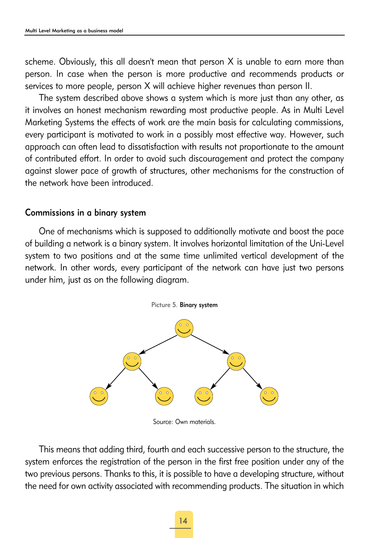scheme. Obviously, this all doesn't mean that person X is unable to earn more than person. In case when the person is more productive and recommends products or services to more people, person X will achieve higher revenues than person II.

The system described above shows a system which is more just than any other, as it involves an honest mechanism rewarding most productive people. As in Multi Level Marketing Systems the effects of work are the main basis for calculating commissions, every participant is motivated to work in a possibly most effective way. However, such approach can often lead to dissatisfaction with results not proportionate to the amount of contributed effort. In order to avoid such discouragement and protect the company against slower pace of growth of structures, other mechanisms for the construction of the network have been introduced.

#### Commissions in a binary system

One of mechanisms which is supposed to additionally motivate and boost the pace of building a network is a binary system. It involves horizontal limitation of the Uni-Level system to two positions and at the same time unlimited vertical development of the network. In other words, every participant of the network can have just two persons under him, just as on the following diagram.



Source: Own materials.

This means that adding third, fourth and each successive person to the structure, the system enforces the registration of the person in the first free position under any of the two previous persons. Thanks to this, it is possible to have a developing structure, without the need for own activity associated with recommending products. The situation in which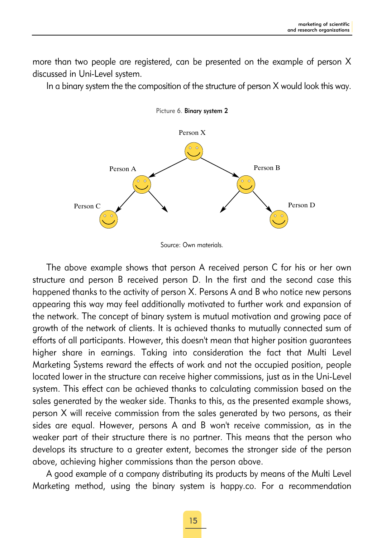more than two people are registered, can be presented on the example of person X discussed in Uni-Level system.

In a binary system the the composition of the structure of person X would look this way.



Picture 6. Binary system 2

The above example shows that person A received person C for his or her own structure and person B received person D. In the first and the second case this happened thanks to the activity of person X. Persons A and B who notice new persons appearing this way may feel additionally motivated to further work and expansion of the network. The concept of binary system is mutual motivation and growing pace of growth of the network of clients. It is achieved thanks to mutually connected sum of efforts of all participants. However, this doesn't mean that higher position guarantees higher share in earnings. Taking into consideration the fact that Multi Level Marketing Systems reward the effects of work and not the occupied position, people located lower in the structure can receive higher commissions, just as in the Uni-Level system. This effect can be achieved thanks to calculating commission based on the sales generated by the weaker side. Thanks to this, as the presented example shows, person X will receive commission from the sales generated by two persons, as their sides are equal. However, persons A and B won't receive commission, as in the weaker part of their structure there is no partner. This means that the person who develops its structure to a greater extent, becomes the stronger side of the person above, achieving higher commissions than the person above.

A good example of a company distributing its products by means of the Multi Level Marketing method, using the binary system is happy.co. For a recommendation

Source: Own materials.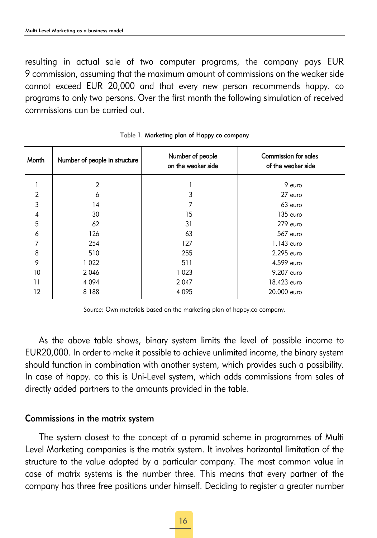resulting in actual sale of two computer programs, the company pays EUR 9 commission, assuming that the maximum amount of commissions on the weaker side cannot exceed EUR 20,000 and that every new person recommends happy. co programs to only two persons. Over the first month the following simulation of received commissions can be carried out.

| Month          | Number of people in structure | Number of people<br>on the weaker side | <b>Commission for sales</b><br>of the weaker side |
|----------------|-------------------------------|----------------------------------------|---------------------------------------------------|
|                | $\overline{2}$                |                                        | 9 euro                                            |
| $\overline{2}$ | 6                             | 3                                      | 27 euro                                           |
| 3              | 14                            |                                        | 63 euro                                           |
| 4              | 30                            | 15                                     | 135 euro                                          |
| 5              | 62                            | 31                                     | 279 euro                                          |
| 6              | 126                           | 63                                     | 567 euro                                          |
| 7              | 254                           | 127                                    | $1.143$ euro                                      |
| 8              | 510                           | 255                                    | 2.295 euro                                        |
| 9              | 1022                          | 511                                    | 4.599 euro                                        |
| 10             | 2 0 4 6                       | 1023                                   | 9.207 euro                                        |
| 11             | 4 0 9 4                       | 2 0 4 7                                | 18.423 euro                                       |
| 12             | 8 1 8 8                       | 4 0 9 5                                | 20.000 euro                                       |

Table 1. Marketing plan of Happy.co company

Source: Own materials based on the marketing plan of happy.co company.

As the above table shows, binary system limits the level of possible income to EUR20,000. In order to make it possible to achieve unlimited income, the binary system should function in combination with another system, which provides such a possibility. In case of happy. co this is Uni-Level system, which adds commissions from sales of directly added partners to the amounts provided in the table.

#### Commissions in the matrix system

The system closest to the concept of a pyramid scheme in programmes of Multi Level Marketing companies is the matrix system. It involves horizontal limitation of the structure to the value adopted by a particular company. The most common value in case of matrix systems is the number three. This means that every partner of the company has three free positions under himself. Deciding to register a greater number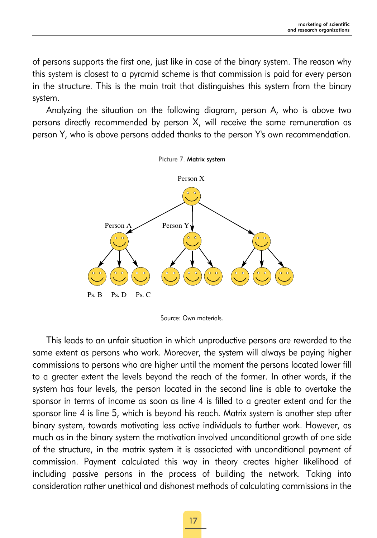of persons supports the first one, just like in case of the binary system. The reason why this system is closest to a pyramid scheme is that commission is paid for every person in the structure. This is the main trait that distinguishes this system from the binary system.

Analyzing the situation on the following diagram, person A, who is above two persons directly recommended by person X, will receive the same remuneration as person Y, who is above persons added thanks to the person Y's own recommendation.



This leads to an unfair situation in which unproductive persons are rewarded to the same extent as persons who work. Moreover, the system will always be paying higher commissions to persons who are higher until the moment the persons located lower fill to a greater extent the levels beyond the reach of the former. In other words, if the system has four levels, the person located in the second line is able to overtake the sponsor in terms of income as soon as line 4 is filled to a greater extent and for the sponsor line 4 is line 5, which is beyond his reach. Matrix system is another step after binary system, towards motivating less active individuals to further work. However, as much as in the binary system the motivation involved unconditional growth of one side of the structure, in the matrix system it is associated with unconditional payment of commission. Payment calculated this way in theory creates higher likelihood of including passive persons in the process of building the network. Taking into consideration rather unethical and dishonest methods of calculating commissions in the

Source: Own materials.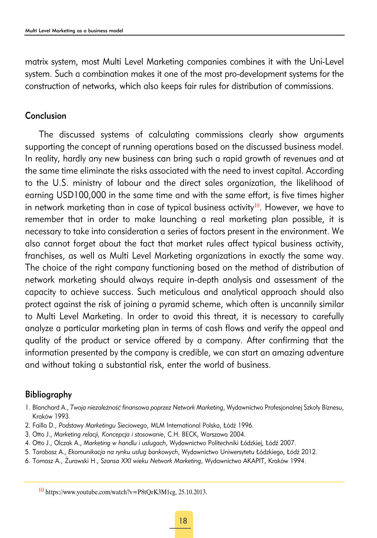matrix system, most Multi Level Marketing companies combines it with the Uni-Level system. Such a combination makes it one of the most pro-development systems for the construction of networks, which also keeps fair rules for distribution of commissions.

# Conclusion

The discussed systems of calculating commissions clearly show arguments supporting the concept of running operations based on the discussed business model. In reality, hardly any new business can bring such a rapid growth of revenues and at the same time eliminate the risks associated with the need to invest capital. According to the U.S. ministry of labour and the direct sales organization, the likelihood of earning USD100,000 in the same time and with the same effort, is five times higher in network marketing than in case of typical business activity $10$ . However, we have to remember that in order to make launching a real marketing plan possible, it is necessary to take into consideration a series of factors present in the environment. We also cannot forget about the fact that market rules affect typical business activity, franchises, as well as Multi Level Marketing organizations in exactly the same way. The choice of the right company functioning based on the method of distribution of network marketing should always require in-depth analysis and assessment of the capacity to achieve success. Such meticulous and analytical approach should also protect against the risk of joining a pyramid scheme, which often is uncannily similar to Multi Level Marketing. In order to avoid this threat, it is necessary to carefully analyze a particular marketing plan in terms of cash flows and verify the appeal and quality of the product or service offered by a company. After confirming that the information presented by the company is credible, we can start an amazing adventure and without taking a substantial risk, enter the world of business.

# Bibliography

- 1. Blanchard A., *Twoja niezależność finansowa poprzez Network Marketing*, Wydawnictwo Profesjonalnej Szkoły Biznesu, Kraków 1993.
- 2. Failla D., *Podstawy Marketingu Sieciowego*, MLM International Polska, Łódź 1996.
- 3. Otto J., *Marketing relacji, Koncepcja i stosowanie*, C.H. BECK, Warszawa 2004.
- 4. Otto J., Olczak A., *Marketing w handlu i usługach*, Wydawnictwo Politechniki Łódzkiej, Łódź 2007.
- 5. Tarabasz A., *Ekomunikacja na rynku usług bankowych*, Wydawnictwo Uniwersytetu Łódzkiego, Łódź 2012.
- 6. Tomasz A., Żurawski H., *Szansa XXI wieku Network Marketing*, Wydawnictwo AKAPIT, Kraków 1994.

 $10$  https://www.youtube.com/watch?v=P8tQrK3M1cg, 25.10.2013.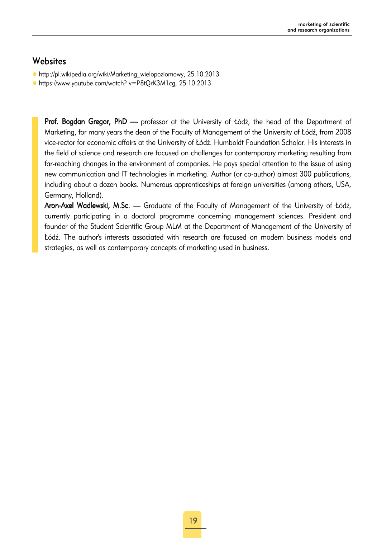# **Websites**

- $\bullet$  http://pl.wikipedia.org/wiki/Marketing\_wielopoziomowy, 25.10.2013
- https://www.youtube.com/watch? v=P8tQrK3M1cg, 25.10.2013

Prof. Bogdan Gregor, PhD — professor at the University of Łódź, the head of the Department of Marketing, for many years the dean of the Faculty of Management of the University of Łódź, from 2008 vice-rector for economic affairs at the University of Łódź. Humboldt Foundation Scholar. His interests in the field of science and research are focused on challenges for contemporary marketing resulting from far-reaching changes in the environment of companies. He pays special attention to the issue of using new communication and IT technologies in marketing. Author (or co-author) almost 300 publications, including about a dozen books. Numerous apprenticeships at foreign universities (among others, USA, Germany, Holland).

Aron-Axel Wadlewski, M.Sc. — Graduate of the Faculty of Management of the University of Łódź, currently participating in a doctoral programme concerning management sciences. President and founder of the Student Scientific Group MLM at the Department of Management of the University of Łódź. The author's interests associated with research are focused on modern business models and strategies, as well as contemporary concepts of marketing used in business.